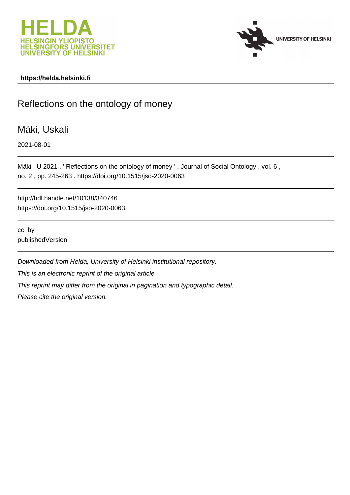



#### **https://helda.helsinki.fi**

# Reflections on the ontology of money

## Mäki, Uskali

2021-08-01

Mäki, U 2021, 'Reflections on the ontology of money', Journal of Social Ontology, vol. 6, no. 2 , pp. 245-263 . https://doi.org/10.1515/jso-2020-0063

http://hdl.handle.net/10138/340746 https://doi.org/10.1515/jso-2020-0063

cc\_by publishedVersion

Downloaded from Helda, University of Helsinki institutional repository. This is an electronic reprint of the original article.

This reprint may differ from the original in pagination and typographic detail.

Please cite the original version.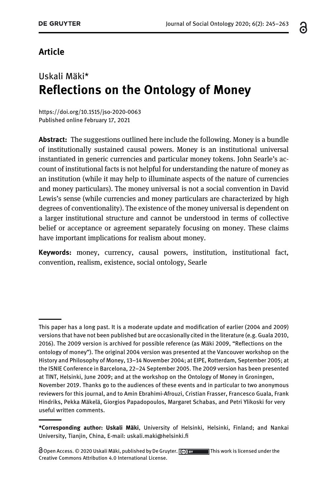## ്റ

### Article

# Uskali Mäki\* Reflections on the Ontology of Money

<https://doi.org/10.1515/jso-2020-0063> [Published online February 17, 2021](https://doi.org/10.1515/jso-2020-0063)

Abstract: The suggestions outlined here include the following. Money is a bundle of institutionally sustained causal powers. Money is an institutional universal instantiated in generic currencies and particular money tokens. John Searle's account of institutional facts is not helpful for understanding the nature of money as an institution (while it may help to illuminate aspects of the nature of currencies and money particulars). The money universal is not a social convention in David Lewis's sense (while currencies and money particulars are characterized by high degrees of conventionality). The existence of the money universal is dependent on a larger institutional structure and cannot be understood in terms of collective belief or acceptance or agreement separately focusing on money. These claims have important implications for realism about money.

Keywords: money, currency, causal powers, institution, institutional fact, convention, realism, existence, social ontology, Searle

This paper has a long past. It is a moderate update and modification of earlier (2004 and 2009) versions that have not been published but are occasionally cited in the literature (e.g. Guala 2010, 2016). The 2009 version is archived for possible reference (as Mäki 2009, "Reflections on the ontology of money"). The original 2004 version was presented at the Vancouver workshop on the History and Philosophy of Money, 13–14 November 2004; at EIPE, Rotterdam, September 2005; at the ISNIE Conference in Barcelona, 22–24 September 2005. The 2009 version has been presented at TINT, Helsinki, June 2009; and at the workshop on the Ontology of Money in Groningen, November 2019. Thanks go to the audiences of these events and in particular to two anonymous reviewers for this journal, and to Amin Ebrahimi-Afrouzi, Cristian Frasser, Francesco Guala, Frank Hindriks, Pekka Mäkelä, Giorgios Papadopoulos, Margaret Schabas, and Petri Ylikoski for very useful written comments.

<sup>\*</sup>Corresponding author: Uskali Mäki, University of Helsinki, Helsinki, Finland; and Nankai University, Tianjin, China, E-mail: [uskali.maki@helsinki.](mailto:uskali.maki@helsinki.fi)fi

 $\partial$  Open Access. © 2020 Uskali Mäki, published by De Gruyter.  $\Box$   $\Box$  This work is licensed under the Creative Commons Attribution 4.0 International License.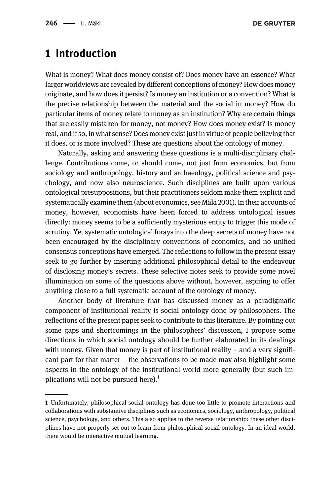## 1 Introduction

What is money? What does money consist of? Does money have an essence? What larger worldviews are revealed by different conceptions of money? How does money originate, and how does it persist? Is money an institution or a convention? What is the precise relationship between the material and the social in money? How do particular items of money relate to money as an institution? Why are certain things that are easily mistaken for money, not money? How does money exist? Is money real, and if so, in what sense? Does money exist just in virtue of people believing that it does, or is more involved? These are questions about the ontology of money.

Naturally, asking and answering these questions is a multi-disciplinary challenge. Contributions come, or should come, not just from economics, but from sociology and anthropology, history and archaeology, political science and psychology, and now also neuroscience. Such disciplines are built upon various ontological presuppositions, but their practitioners seldom make them explicit and systematically examine them (about economics, see Mäki 2001). In their accounts of money, however, economists have been forced to address ontological issues directly: money seems to be a sufficiently mysterious entity to trigger this mode of scrutiny. Yet systematic ontological forays into the deep secrets of money have not been encouraged by the disciplinary conventions of economics, and no unified consensus conceptions have emerged. The reflections to follow in the present essay seek to go further by inserting additional philosophical detail to the endeavour of disclosing money's secrets. These selective notes seek to provide some novel illumination on some of the questions above without, however, aspiring to offer anything close to a full systematic account of the ontology of money.

Another body of literature that has discussed money as a paradigmatic component of institutional reality is social ontology done by philosophers. The reflections of the present paper seek to contribute to this literature. By pointing out some gaps and shortcomings in the philosophers' discussion, I propose some directions in which social ontology should be further elaborated in its dealings with money. Given that money is part of institutional reality  $-$  and a very significant part for that matter – the observations to be made may also highlight some aspects in the ontology of the institutional world more generally (but such implications will not be pursued here).<sup>1</sup>

<sup>1</sup> Unfortunately, philosophical social ontology has done too little to promote interactions and collaborations with substantive disciplines such as economics, sociology, anthropology, political science, psychology, and others. This also applies to the reverse relationship: these other disciplines have not properly set out to learn from philosophical social ontology. In an ideal world, there would be interactive mutual learning.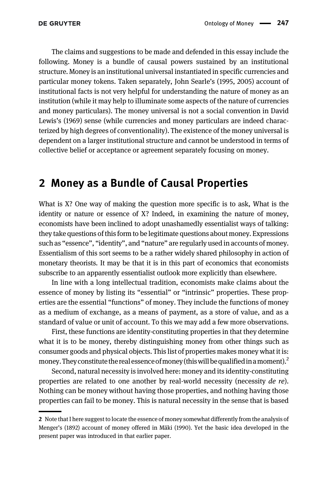The claims and suggestions to be made and defended in this essay include the following. Money is a bundle of causal powers sustained by an institutional structure. Money is an institutional universal instantiated in specific currencies and particular money tokens. Taken separately, John Searle's (1995, 2005) account of institutional facts is not very helpful for understanding the nature of money as an institution (while it may help to illuminate some aspects of the nature of currencies and money particulars). The money universal is not a social convention in David Lewis's (1969) sense (while currencies and money particulars are indeed characterized by high degrees of conventionality). The existence of the money universal is dependent on a larger institutional structure and cannot be understood in terms of collective belief or acceptance or agreement separately focusing on money.

## 2 Money as a Bundle of Causal Properties

What is X? One way of making the question more specific is to ask, What is the identity or nature or essence of X? Indeed, in examining the nature of money, economists have been inclined to adopt unashamedly essentialist ways of talking: they take questions of this form to be legitimate questions about money. Expressions such as "essence", "identity", and "nature" are regularly used in accounts of money. Essentialism of this sort seems to be a rather widely shared philosophy in action of monetary theorists. It may be that it is in this part of economics that economists subscribe to an apparently essentialist outlook more explicitly than elsewhere.

In line with a long intellectual tradition, economists make claims about the essence of money by listing its "essential" or "intrinsic" properties. These properties are the essential "functions" of money. They include the functions of money as a medium of exchange, as a means of payment, as a store of value, and as a standard of value or unit of account. To this we may add a few more observations.

First, these functions are identity-constituting properties in that they determine what it is to be money, thereby distinguishing money from other things such as consumer goods and physical objects. This list of properties makes money what it is: money. They constitute the real essence of money (this will be qualified in a moment).<sup>2</sup>

Second, natural necessity is involved here: money and its identity-constituting properties are related to one another by real-world necessity (necessity de re). Nothing can be money without having those properties, and nothing having those properties can fail to be money. This is natural necessity in the sense that is based

<sup>2</sup> Note that I here suggest to locate the essence of money somewhat differently from the analysis of Menger's (1892) account of money offered in Mäki (1990). Yet the basic idea developed in the present paper was introduced in that earlier paper.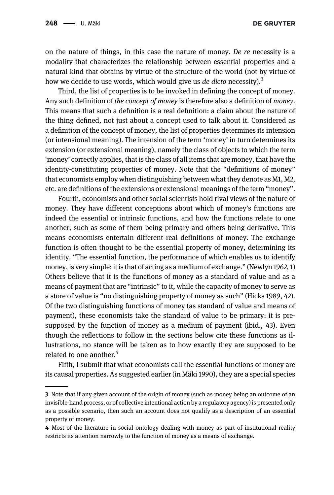on the nature of things, in this case the nature of money. De re necessity is a modality that characterizes the relationship between essential properties and a natural kind that obtains by virtue of the structure of the world (not by virtue of how we decide to use words, which would give us *de dicto* necessity).<sup>3</sup>

Third, the list of properties is to be invoked in defining the concept of money. Any such definition of the concept of money is therefore also a definition of money. This means that such a definition is a real definition: a claim about the nature of the thing defined, not just about a concept used to talk about it. Considered as a definition of the concept of money, the list of properties determines its intension (or intensional meaning). The intension of the term 'money' in turn determines its extension (or extensional meaning), namely the class of objects to which the term 'money' correctly applies, that is the class of all items that are money, that have the identity-constituting properties of money. Note that the "definitions of money" that economists employ when distinguishing between what they denote as M1, M2, etc. are definitions of the extensions or extensional meanings of the term "money".

Fourth, economists and other social scientists hold rival views of the nature of money. They have different conceptions about which of money's functions are indeed the essential or intrinsic functions, and how the functions relate to one another, such as some of them being primary and others being derivative. This means economists entertain different real definitions of money. The exchange function is often thought to be the essential property of money, determining its identity. "The essential function, the performance of which enables us to identify money, is very simple: it is that of acting as a medium of exchange." (Newlyn 1962, 1) Others believe that it is the functions of money as a standard of value and as a means of payment that are "intrinsic" to it, while the capacity of money to serve as a store of value is "no distinguishing property of money as such" (Hicks 1989, 42). Of the two distinguishing functions of money (as standard of value and means of payment), these economists take the standard of value to be primary: it is presupposed by the function of money as a medium of payment (ibid., 43). Even though the reflections to follow in the sections below cite these functions as illustrations, no stance will be taken as to how exactly they are supposed to be related to one another.<sup>4</sup>

Fifth, I submit that what economists call the essential functions of money are its causal properties. As suggested earlier (in Mäki 1990), they are a special species

<sup>3</sup> Note that if any given account of the origin of money (such as money being an outcome of an invisible-hand process, or of collective intentional action by a regulatory agency) is presented only as a possible scenario, then such an account does not qualify as a description of an essential property of money.

<sup>4</sup> Most of the literature in social ontology dealing with money as part of institutional reality restricts its attention narrowly to the function of money as a means of exchange.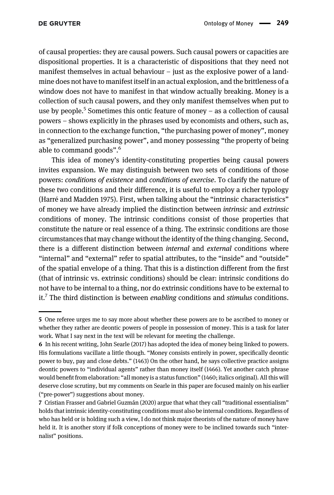of causal properties: they are causal powers. Such causal powers or capacities are dispositional properties. It is a characteristic of dispositions that they need not manifest themselves in actual behaviour  $-$  just as the explosive power of a landmine does not have to manifest itself in an actual explosion, and the brittleness of a window does not have to manifest in that window actually breaking. Money is a collection of such causal powers, and they only manifest themselves when put to use by people.<sup>5</sup> Sometimes this ontic feature of money – as a collection of causal powers – shows explicitly in the phrases used by economists and others, such as, in connection to the exchange function, "the purchasing power of money", money as "generalized purchasing power", and money possessing "the property of being able to command goods".<sup>6</sup>

This idea of money's identity-constituting properties being causal powers invites expansion. We may distinguish between two sets of conditions of those powers: conditions of existence and conditions of exercise. To clarify the nature of these two conditions and their difference, it is useful to employ a richer typology (Harré and Madden 1975). First, when talking about the "intrinsic characteristics" of money we have already implied the distinction between intrinsic and extrinsic conditions of money. The intrinsic conditions consist of those properties that constitute the nature or real essence of a thing. The extrinsic conditions are those circumstances that may change without the identity of the thing changing. Second, there is a different distinction between *internal* and *external* conditions where "internal" and "external" refer to spatial attributes, to the "inside" and "outside" of the spatial envelope of a thing. That this is a distinction different from the first (that of intrinsic vs. extrinsic conditions) should be clear: intrinsic conditions do not have to be internal to a thing, nor do extrinsic conditions have to be external to it.<sup>7</sup> The third distinction is between *enabling* conditions and *stimulus* conditions.

<sup>5</sup> One referee urges me to say more about whether these powers are to be ascribed to money or whether they rather are deontic powers of people in possession of money. This is a task for later work. What I say next in the text will be relevant for meeting the challenge.

<sup>6</sup> In his recent writing, John Searle (2017) has adopted the idea of money being linked to powers. His formulations vacillate a little though. "Money consists entirely in power, specifically deontic power to buy, pay and close debts." (1463) On the other hand, he says collective practice assigns deontic powers to "individual agents" rather than money itself (1466). Yet another catch phrase would benefit from elaboration: "all money is a status function" (1460; italics original). All this will deserve close scrutiny, but my comments on Searle in this paper are focused mainly on his earlier ("pre-power") suggestions about money.

<sup>7</sup> Cristian Frasser and Gabriel Guzmán (2020) argue that what they call "traditional essentialism" holds that intrinsic identity-constituting conditions must also be internal conditions. Regardless of who has held or is holding such a view, I do not think major theorists of the nature of money have held it. It is another story if folk conceptions of money were to be inclined towards such "internalist" positions.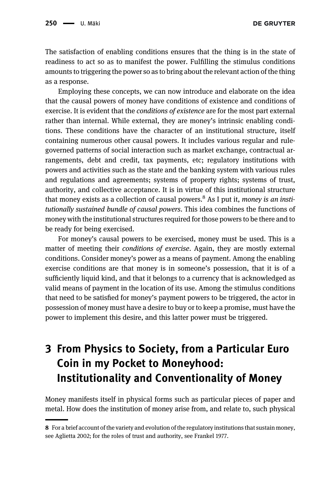The satisfaction of enabling conditions ensures that the thing is in the state of readiness to act so as to manifest the power. Fulfilling the stimulus conditions amounts to triggering the power so as to bring about the relevant action of the thing as a response.

Employing these concepts, we can now introduce and elaborate on the idea that the causal powers of money have conditions of existence and conditions of exercise. It is evident that the conditions of existence are for the most part external rather than internal. While external, they are money's intrinsic enabling conditions. These conditions have the character of an institutional structure, itself containing numerous other causal powers. It includes various regular and rulegoverned patterns of social interaction such as market exchange, contractual arrangements, debt and credit, tax payments, etc; regulatory institutions with powers and activities such as the state and the banking system with various rules and regulations and agreements; systems of property rights; systems of trust, authority, and collective acceptance. It is in virtue of this institutional structure that money exists as a collection of causal powers. $8$  As I put it, *money is an insti*tutionally sustained bundle of causal powers. This idea combines the functions of money with the institutional structures required for those powers to be there and to be ready for being exercised.

For money's causal powers to be exercised, money must be used. This is a matter of meeting their *conditions of exercise*. Again, they are mostly external conditions. Consider money's power as a means of payment. Among the enabling exercise conditions are that money is in someone's possession, that it is of a sufficiently liquid kind, and that it belongs to a currency that is acknowledged as valid means of payment in the location of its use. Among the stimulus conditions that need to be satisfied for money's payment powers to be triggered, the actor in possession of money must have a desire to buy or to keep a promise, must have the power to implement this desire, and this latter power must be triggered.

# 3 From Physics to Society, from a Particular Euro Coin in my Pocket to Moneyhood: Institutionality and Conventionality of Money

Money manifests itself in physical forms such as particular pieces of paper and metal. How does the institution of money arise from, and relate to, such physical

<sup>8</sup> For a brief account of the variety and evolution of the regulatory institutions that sustain money, see Aglietta 2002; for the roles of trust and authority, see Frankel 1977.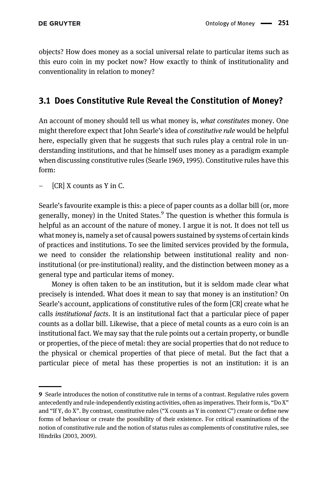objects? How does money as a social universal relate to particular items such as this euro coin in my pocket now? How exactly to think of institutionality and conventionality in relation to money?

### 3.1 Does Constitutive Rule Reveal the Constitution of Money?

An account of money should tell us what money is, what constitutes money. One might therefore expect that John Searle's idea of constitutive rule would be helpful here, especially given that he suggests that such rules play a central role in understanding institutions, and that he himself uses money as a paradigm example when discussing constitutive rules (Searle 1969, 1995). Constitutive rules have this form:

 $[CR]$  X counts as Y in C.

Searle's favourite example is this: a piece of paper counts as a dollar bill (or, more generally, money) in the United States. $9$  The question is whether this formula is helpful as an account of the nature of money. I argue it is not. It does not tell us what money is, namely a set of causal powers sustained by systems of certain kinds of practices and institutions. To see the limited services provided by the formula, we need to consider the relationship between institutional reality and noninstitutional (or pre-institutional) reality, and the distinction between money as a general type and particular items of money.

Money is often taken to be an institution, but it is seldom made clear what precisely is intended. What does it mean to say that money is an institution? On Searle's account, applications of constitutive rules of the form [CR] create what he calls institutional facts. It is an institutional fact that a particular piece of paper counts as a dollar bill. Likewise, that a piece of metal counts as a euro coin is an institutional fact. We may say that the rule points out a certain property, or bundle or properties, of the piece of metal: they are social properties that do not reduce to the physical or chemical properties of that piece of metal. But the fact that a particular piece of metal has these properties is not an institution: it is an

<sup>9</sup> Searle introduces the notion of constitutive rule in terms of a contrast. Regulative rules govern antecedently and rule-independently existing activities, often as imperatives. Their form is, "Do X" and "If Y, do X". By contrast, constitutive rules ("X counts as Y in context C") create or define new forms of behaviour or create the possibility of their existence. For critical examinations of the notion of constitutive rule and the notion of status rules as complements of constitutive rules, see Hindriks (2003, 2009).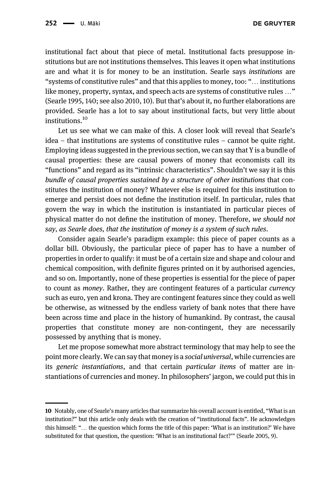institutional fact about that piece of metal. Institutional facts presuppose institutions but are not institutions themselves. This leaves it open what institutions are and what it is for money to be an institution. Searle says institutions are "systems of constitutive rules" and that this applies to money, too: "… institutions like money, property, syntax, and speech acts are systems of constitutive rules …" (Searle 1995, 140; see also 2010, 10). But that's about it, no further elaborations are provided. Searle has a lot to say about institutional facts, but very little about institutions.<sup>10</sup>

Let us see what we can make of this. A closer look will reveal that Searle's idea – that institutions are systems of constitutive rules – cannot be quite right. Employing ideas suggested in the previous section, we can say that Y is a bundle of causal properties: these are causal powers of money that economists call its "functions" and regard as its "intrinsic characteristics". Shouldn't we say it is this bundle of causal properties sustained by a structure of other institutions that constitutes the institution of money? Whatever else is required for this institution to emerge and persist does not define the institution itself. In particular, rules that govern the way in which the institution is instantiated in particular pieces of physical matter do not define the institution of money. Therefore, we should not say, as Searle does, that the institution of money is a system of such rules.

Consider again Searle's paradigm example: this piece of paper counts as a dollar bill. Obviously, the particular piece of paper has to have a number of properties in order to qualify: it must be of a certain size and shape and colour and chemical composition, with definite figures printed on it by authorised agencies, and so on. Importantly, none of these properties is essential for the piece of paper to count as money. Rather, they are contingent features of a particular currency such as euro, yen and krona. They are contingent features since they could as well be otherwise, as witnessed by the endless variety of bank notes that there have been across time and place in the history of humankind. By contrast, the causal properties that constitute money are non-contingent, they are necessarily possessed by anything that is money.

Let me propose somewhat more abstract terminology that may help to see the point more clearly. We can say that money is a social universal, while currencies are its generic instantiations, and that certain particular items of matter are instantiations of currencies and money. In philosophers' jargon, we could put this in

<sup>10</sup> Notably, one of Searle's many articles that summarize his overall account is entitled, "What is an institution?" but this article only deals with the creation of "institutional facts". He acknowledges this himself: "… the question which forms the title of this paper: 'What is an institution?' We have substituted for that question, the question: 'What is an institutional fact?'" (Searle 2005, 9).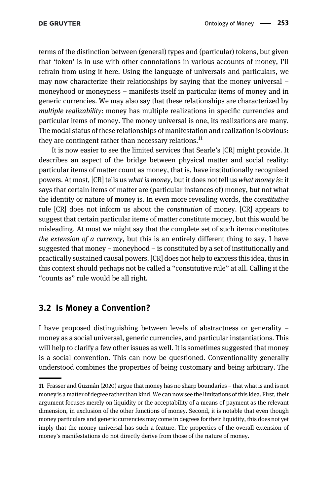terms of the distinction between (general) types and (particular) tokens, but given that 'token' is in use with other connotations in various accounts of money, I'll refrain from using it here. Using the language of universals and particulars, we may now characterize their relationships by saying that the money universal – moneyhood or moneyness – manifests itself in particular items of money and in generic currencies. We may also say that these relationships are characterized by multiple realizability: money has multiple realizations in specific currencies and particular items of money. The money universal is one, its realizations are many. The modal status of these relationships of manifestation and realization is obvious: they are contingent rather than necessary relations.<sup>11</sup>

It is now easier to see the limited services that Searle's [CR] might provide. It describes an aspect of the bridge between physical matter and social reality: particular items of matter count as money, that is, have institutionally recognized powers. At most, [CR] tells us what is money, but it does not tell us what money is: it says that certain items of matter are (particular instances of) money, but not what the identity or nature of money is. In even more revealing words, the constitutive rule [CR] does not inform us about the constitution of money. [CR] appears to suggest that certain particular items of matter constitute money, but this would be misleading. At most we might say that the complete set of such items constitutes the extension of a currency, but this is an entirely different thing to say. I have suggested that money – moneyhood – is constituted by a set of institutionally and practically sustained causal powers. [CR] does not help to express this idea, thus in this context should perhaps not be called a "constitutive rule" at all. Calling it the "counts as" rule would be all right.

#### 3.2 Is Money a Convention?

I have proposed distinguishing between levels of abstractness or generality – money as a social universal, generic currencies, and particular instantiations. This will help to clarify a few other issues as well. It is sometimes suggested that money is a social convention. This can now be questioned. Conventionality generally understood combines the properties of being customary and being arbitrary. The

<sup>11</sup> Frasser and Guzmán (2020) argue that money has no sharp boundaries – that what is and is not money is a matter of degree rather than kind. We can now see the limitations of this idea. First, their argument focuses merely on liquidity or the acceptability of a means of payment as the relevant dimension, in exclusion of the other functions of money. Second, it is notable that even though money particulars and generic currencies may come in degrees for their liquidity, this does not yet imply that the money universal has such a feature. The properties of the overall extension of money's manifestations do not directly derive from those of the nature of money.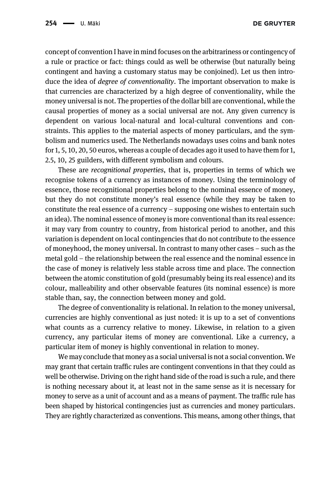concept of convention I have in mind focuses on the arbitrariness or contingency of a rule or practice or fact: things could as well be otherwise (but naturally being contingent and having a customary status may be conjoined). Let us then introduce the idea of degree of conventionality. The important observation to make is that currencies are characterized by a high degree of conventionality, while the money universal is not. The properties of the dollar bill are conventional, while the causal properties of money as a social universal are not. Any given currency is dependent on various local-natural and local-cultural conventions and constraints. This applies to the material aspects of money particulars, and the symbolism and numerics used. The Netherlands nowadays uses coins and bank notes for 1, 5, 10, 20, 50 euros, whereas a couple of decades ago it used to have them for 1, 2.5, 10, 25 guilders, with different symbolism and colours.

These are recognitional properties, that is, properties in terms of which we recognise tokens of a currency as instances of money. Using the terminology of essence, those recognitional properties belong to the nominal essence of money, but they do not constitute money's real essence (while they may be taken to constitute the real essence of a currency – supposing one wishes to entertain such an idea). The nominal essence of money is more conventional than its real essence: it may vary from country to country, from historical period to another, and this variation is dependent on local contingencies that do not contribute to the essence of moneyhood, the money universal. In contrast to many other cases – such as the metal gold – the relationship between the real essence and the nominal essence in the case of money is relatively less stable across time and place. The connection between the atomic constitution of gold (presumably being its real essence) and its colour, malleability and other observable features (its nominal essence) is more stable than, say, the connection between money and gold.

The degree of conventionality is relational. In relation to the money universal, currencies are highly conventional as just noted: it is up to a set of conventions what counts as a currency relative to money. Likewise, in relation to a given currency, any particular items of money are conventional. Like a currency, a particular item of money is highly conventional in relation to money.

We may conclude that money as a social universal is not a social convention. We may grant that certain traffic rules are contingent conventions in that they could as well be otherwise. Driving on the right hand side of the road is such a rule, and there is nothing necessary about it, at least not in the same sense as it is necessary for money to serve as a unit of account and as a means of payment. The traffic rule has been shaped by historical contingencies just as currencies and money particulars. They are rightly characterized as conventions. This means, among other things, that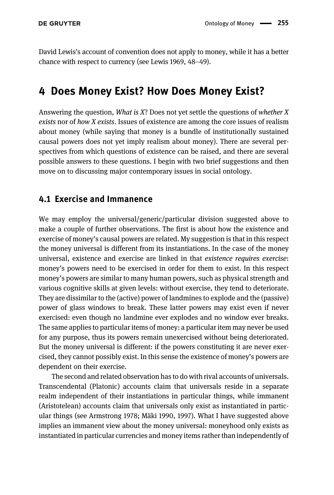David Lewis's account of convention does not apply to money, while it has a better chance with respect to currency (see Lewis 1969, 48–49).

## 4 Does Money Exist? How Does Money Exist?

Answering the question, *What is X*? Does not yet settle the questions of *whether X* exists nor of how X exists. Issues of existence are among the core issues of realism about money (while saying that money is a bundle of institutionally sustained causal powers does not yet imply realism about money). There are several perspectives from which questions of existence can be raised, and there are several possible answers to these questions. I begin with two brief suggestions and then move on to discussing major contemporary issues in social ontology.

#### 4.1 Exercise and Immanence

We may employ the universal/generic/particular division suggested above to make a couple of further observations. The first is about how the existence and exercise of money's causal powers are related. My suggestion is that in this respect the money universal is different from its instantiations. In the case of the money universal, existence and exercise are linked in that existence requires exercise: money's powers need to be exercised in order for them to exist. In this respect money's powers are similar to many human powers, such as physical strength and various cognitive skills at given levels: without exercise, they tend to deteriorate. They are dissimilar to the (active) power of landmines to explode and the (passive) power of glass windows to break. These latter powers may exist even if never exercised: even though no landmine ever explodes and no window ever breaks. The same applies to particular items of money: a particular item may never be used for any purpose, thus its powers remain unexercised without being deteriorated. But the money universal is different: if the powers constituting it are never exercised, they cannot possibly exist. In this sense the existence of money's powers are dependent on their exercise.

The second and related observation has to do with rival accounts of universals. Transcendental (Platonic) accounts claim that universals reside in a separate realm independent of their instantiations in particular things, while immanent (Aristotelean) accounts claim that universals only exist as instantiated in particular things (see Armstrong 1978; Mäki 1990, 1997). What I have suggested above implies an immanent view about the money universal: moneyhood only exists as instantiated in particular currencies and money items rather than independently of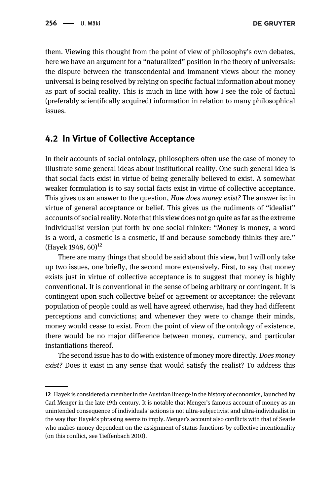them. Viewing this thought from the point of view of philosophy's own debates, here we have an argument for a "naturalized" position in the theory of universals: the dispute between the transcendental and immanent views about the money universal is being resolved by relying on specific factual information about money as part of social reality. This is much in line with how I see the role of factual (preferably scientifically acquired) information in relation to many philosophical issues.

#### 4.2 In Virtue of Collective Acceptance

In their accounts of social ontology, philosophers often use the case of money to illustrate some general ideas about institutional reality. One such general idea is that social facts exist in virtue of being generally believed to exist. A somewhat weaker formulation is to say social facts exist in virtue of collective acceptance. This gives us an answer to the question, How does money exist? The answer is: in virtue of general acceptance or belief. This gives us the rudiments of "idealist" accounts of social reality. Note that this view does not go quite as far as the extreme individualist version put forth by one social thinker: "Money is money, a word is a word, a cosmetic is a cosmetic, if and because somebody thinks they are." (Hayek 1948,  $60^{12}$ 

There are many things that should be said about this view, but I will only take up two issues, one briefly, the second more extensively. First, to say that money exists just in virtue of collective acceptance is to suggest that money is highly conventional. It is conventional in the sense of being arbitrary or contingent. It is contingent upon such collective belief or agreement or acceptance: the relevant population of people could as well have agreed otherwise, had they had different perceptions and convictions; and whenever they were to change their minds, money would cease to exist. From the point of view of the ontology of existence, there would be no major difference between money, currency, and particular instantiations thereof.

The second issue has to do with existence of money more directly. Does money exist? Does it exist in any sense that would satisfy the realist? To address this

<sup>12</sup> Hayek is considered a member in the Austrian lineage in the history of economics, launched by Carl Menger in the late 19th century. It is notable that Menger's famous account of money as an unintended consequence of individuals' actions is not ultra-subjectivist and ultra-individualist in the way that Hayek's phrasing seems to imply. Menger's account also conflicts with that of Searle who makes money dependent on the assignment of status functions by collective intentionality (on this conflict, see Tieffenbach 2010).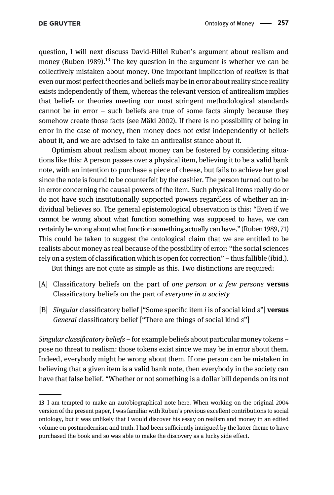question, I will next discuss David-Hillel Ruben's argument about realism and money (Ruben 1989).<sup>13</sup> The key question in the argument is whether we can be collectively mistaken about money. One important implication of realism is that even our most perfect theories and beliefs may be in error about reality since reality exists independently of them, whereas the relevant version of antirealism implies that beliefs or theories meeting our most stringent methodological standards cannot be in error – such beliefs are true of some facts simply because they somehow create those facts (see Mäki 2002). If there is no possibility of being in error in the case of money, then money does not exist independently of beliefs about it, and we are advised to take an antirealist stance about it.

Optimism about realism about money can be fostered by considering situations like this: A person passes over a physical item, believing it to be a valid bank note, with an intention to purchase a piece of cheese, but fails to achieve her goal since the note is found to be counterfeit by the cashier. The person turned out to be in error concerning the causal powers of the item. Such physical items really do or do not have such institutionally supported powers regardless of whether an individual believes so. The general epistemological observation is this: "Even if we cannot be wrong about what function something was supposed to have, we can certainly be wrong about what function something actually can have." (Ruben 1989, 71) This could be taken to suggest the ontological claim that we are entitled to be realists about money as real because of the possibility of error: "the social sciences rely on a system of classification which is open for correction" – thus fallible (ibid.). But things are not quite as simple as this. Two distinctions are required:

- [A] Classificatory beliefs on the part of one person or a few persons versus Classificatory beliefs on the part of everyone in a society
- [B] Singular classificatory belief ["Some specific item i is of social kind  $s$ "] **versus** General classificatory belief ["There are things of social kind s"]

Singular classificatory beliefs – for example beliefs about particular money tokens – pose no threat to realism: those tokens exist since we may be in error about them. Indeed, everybody might be wrong about them. If one person can be mistaken in believing that a given item is a valid bank note, then everybody in the society can have that false belief. "Whether or not something is a dollar bill depends on its not

<sup>13</sup> I am tempted to make an autobiographical note here. When working on the original 2004 version of the present paper, I was familiar with Ruben's previous excellent contributions to social ontology, but it was unlikely that I would discover his essay on realism and money in an edited volume on postmodernism and truth. I had been sufficiently intrigued by the latter theme to have purchased the book and so was able to make the discovery as a lucky side effect.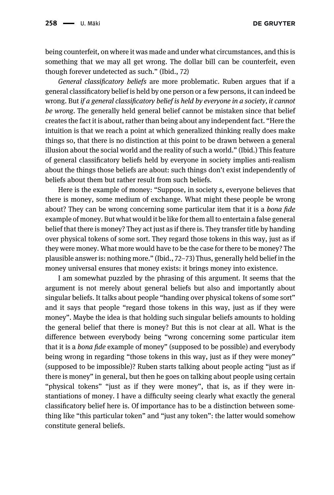being counterfeit, on where it was made and under what circumstances, and this is something that we may all get wrong. The dollar bill can be counterfeit, even though forever undetected as such." (Ibid., 72)

General classificatory beliefs are more problematic. Ruben argues that if a general classificatory belief is held by one person or a few persons, it can indeed be wrong. But if a general classificatory belief is held by everyone in a society, it cannot be wrong. The generally held general belief cannot be mistaken since that belief creates the fact it is about, rather than being about any independent fact. "Here the intuition is that we reach a point at which generalized thinking really does make things so, that there is no distinction at this point to be drawn between a general illusion about the social world and the reality of such a world." (Ibid.) This feature of general classificatory beliefs held by everyone in society implies anti-realism about the things those beliefs are about: such things don't exist independently of beliefs about them but rather result from such beliefs.

Here is the example of money: "Suppose, in society s, everyone believes that there is money, some medium of exchange. What might these people be wrong about? They can be wrong concerning some particular item that it is a bona fide example of money. But what would it be like for them all to entertain a false general belief that there is money? They act just as if there is. They transfer title by handing over physical tokens of some sort. They regard those tokens in this way, just as if they were money. What more would have to be the case for there to be money? The plausible answer is: nothing more." (Ibid., 72–73) Thus, generally held belief in the money universal ensures that money exists: it brings money into existence.

I am somewhat puzzled by the phrasing of this argument. It seems that the argument is not merely about general beliefs but also and importantly about singular beliefs. It talks about people "handing over physical tokens of some sort" and it says that people "regard those tokens in this way, just as if they were money". Maybe the idea is that holding such singular beliefs amounts to holding the general belief that there is money? But this is not clear at all. What is the difference between everybody being "wrong concerning some particular item that it is a bona fide example of money" (supposed to be possible) and everybody being wrong in regarding "those tokens in this way, just as if they were money" (supposed to be impossible)? Ruben starts talking about people acting "just as if there is money" in general, but then he goes on talking about people using certain "physical tokens" "just as if they were money", that is, as if they were instantiations of money. I have a difficulty seeing clearly what exactly the general classificatory belief here is. Of importance has to be a distinction between something like "this particular token" and "just any token": the latter would somehow constitute general beliefs.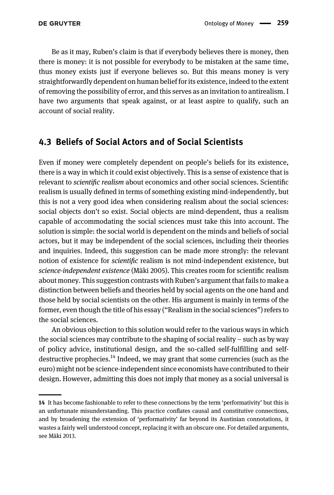Be as it may, Ruben's claim is that if everybody believes there is money, then there is money: it is not possible for everybody to be mistaken at the same time, thus money exists just if everyone believes so. But this means money is very straightforwardly dependent on human belief for its existence, indeed to the extent of removing the possibility of error, and this serves as an invitation to antirealism. I have two arguments that speak against, or at least aspire to qualify, such an account of social reality.

#### 4.3 Beliefs of Social Actors and of Social Scientists

Even if money were completely dependent on people's beliefs for its existence, there is a way in which it could exist objectively. This is a sense of existence that is relevant to scientific realism about economics and other social sciences. Scientific realism is usually defined in terms of something existing mind-independently, but this is not a very good idea when considering realism about the social sciences: social objects don't so exist. Social objects are mind-dependent, thus a realism capable of accommodating the social sciences must take this into account. The solution is simple: the social world is dependent on the minds and beliefs of social actors, but it may be independent of the social sciences, including their theories and inquiries. Indeed, this suggestion can be made more strongly: the relevant notion of existence for scientific realism is not mind-independent existence, but science-independent existence (Mäki 2005). This creates room for scientific realism about money. This suggestion contrasts with Ruben's argument that fails to make a distinction between beliefs and theories held by social agents on the one hand and those held by social scientists on the other. His argument is mainly in terms of the former, even though the title of his essay ("Realism in the social sciences") refers to the social sciences.

An obvious objection to this solution would refer to the various ways in which the social sciences may contribute to the shaping of social reality – such as by way of policy advice, institutional design, and the so-called self-fulfilling and selfdestructive prophecies.<sup>14</sup> Indeed, we may grant that some currencies (such as the euro) might not be science-independent since economists have contributed to their design. However, admitting this does not imply that money as a social universal is

<sup>14</sup> It has become fashionable to refer to these connections by the term 'performativity' but this is an unfortunate misunderstanding. This practice conflates causal and constitutive connections, and by broadening the extension of 'performativity' far beyond its Austinian connotations, it wastes a fairly well understood concept, replacing it with an obscure one. For detailed arguments, see Mäki 2013.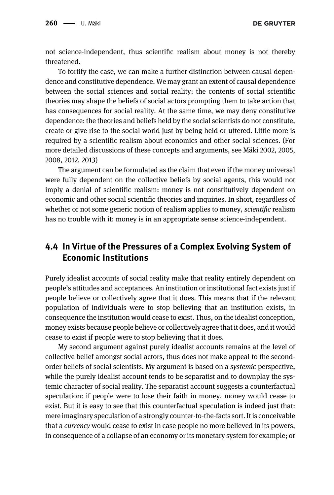not science-independent, thus scientific realism about money is not thereby threatened.

To fortify the case, we can make a further distinction between causal dependence and constitutive dependence. We may grant an extent of causal dependence between the social sciences and social reality: the contents of social scientific theories may shape the beliefs of social actors prompting them to take action that has consequences for social reality. At the same time, we may deny constitutive dependence: the theories and beliefs held by the social scientists do not constitute, create or give rise to the social world just by being held or uttered. Little more is required by a scientific realism about economics and other social sciences. (For more detailed discussions of these concepts and arguments, see Mäki 2002, 2005, 2008, 2012, 2013)

The argument can be formulated as the claim that even if the money universal were fully dependent on the collective beliefs by social agents, this would not imply a denial of scientific realism: money is not constitutively dependent on economic and other social scientific theories and inquiries. In short, regardless of whether or not some generic notion of realism applies to money, *scientific* realism has no trouble with it: money is in an appropriate sense science-independent.

### 4.4 In Virtue of the Pressures of a Complex Evolving System of Economic Institutions

Purely idealist accounts of social reality make that reality entirely dependent on people's attitudes and acceptances. An institution or institutional fact exists just if people believe or collectively agree that it does. This means that if the relevant population of individuals were to stop believing that an institution exists, in consequence the institution would cease to exist. Thus, on the idealist conception, money exists because people believe or collectively agree that it does, and it would cease to exist if people were to stop believing that it does.

My second argument against purely idealist accounts remains at the level of collective belief amongst social actors, thus does not make appeal to the secondorder beliefs of social scientists. My argument is based on a systemic perspective, while the purely idealist account tends to be separatist and to downplay the systemic character of social reality. The separatist account suggests a counterfactual speculation: if people were to lose their faith in money, money would cease to exist. But it is easy to see that this counterfactual speculation is indeed just that: mere imaginary speculation of a strongly counter-to-the-facts sort. It is conceivable that a currency would cease to exist in case people no more believed in its powers, in consequence of a collapse of an economy or its monetary system for example; or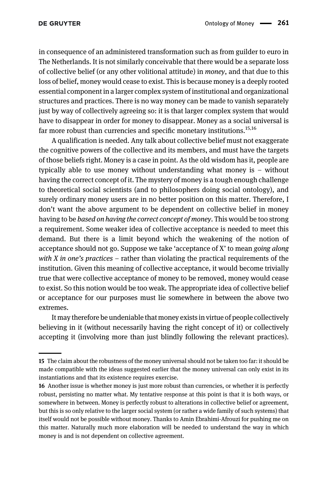in consequence of an administered transformation such as from guilder to euro in The Netherlands. It is not similarly conceivable that there would be a separate loss of collective belief (or any other volitional attitude) in money, and that due to this loss of belief, money would cease to exist. This is because money is a deeply rooted essential component in a larger complex system of institutional and organizational structures and practices. There is no way money can be made to vanish separately just by way of collectively agreeing so: it is that larger complex system that would have to disappear in order for money to disappear. Money as a social universal is far more robust than currencies and specific monetary institutions.<sup>15,16</sup>

A qualification is needed. Any talk about collective belief must not exaggerate the cognitive powers of the collective and its members, and must have the targets of those beliefs right. Money is a case in point. As the old wisdom has it, people are typically able to use money without understanding what money is – without having the correct concept of it. The mystery of money is a tough enough challenge to theoretical social scientists (and to philosophers doing social ontology), and surely ordinary money users are in no better position on this matter. Therefore, I don't want the above argument to be dependent on collective belief in money having to be *based on having the correct concept of money*. This would be too strong a requirement. Some weaker idea of collective acceptance is needed to meet this demand. But there is a limit beyond which the weakening of the notion of acceptance should not go. Suppose we take 'acceptance of X' to mean going along with X in one's practices – rather than violating the practical requirements of the institution. Given this meaning of collective acceptance, it would become trivially true that were collective acceptance of money to be removed, money would cease to exist. So this notion would be too weak. The appropriate idea of collective belief or acceptance for our purposes must lie somewhere in between the above two extremes.

It may therefore be undeniable that money exists in virtue of people collectively believing in it (without necessarily having the right concept of it) or collectively accepting it (involving more than just blindly following the relevant practices).

<sup>15</sup> The claim about the robustness of the money universal should not be taken too far: it should be made compatible with the ideas suggested earlier that the money universal can only exist in its instantiations and that its existence requires exercise.

<sup>16</sup> Another issue is whether money is just more robust than currencies, or whether it is perfectly robust, persisting no matter what. My tentative response at this point is that it is both ways, or somewhere in between. Money is perfectly robust to alterations in collective belief or agreement, but this is so only relative to the larger social system (or rather a wide family of such systems) that itself would not be possible without money. Thanks to Amin Ebrahimi-Afrouzi for pushing me on this matter. Naturally much more elaboration will be needed to understand the way in which money is and is not dependent on collective agreement.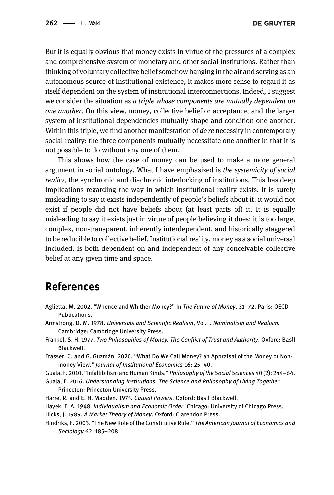But it is equally obvious that money exists in virtue of the pressures of a complex and comprehensive system of monetary and other social institutions. Rather than thinking of voluntary collective belief somehow hanging in the air and serving as an autonomous source of institutional existence, it makes more sense to regard it as itself dependent on the system of institutional interconnections. Indeed, I suggest we consider the situation as a triple whose components are mutually dependent on one another. On this view, money, collective belief or acceptance, and the larger system of institutional dependencies mutually shape and condition one another. Within this triple, we find another manifestation of de re necessity in contemporary social reality: the three components mutually necessitate one another in that it is not possible to do without any one of them.

This shows how the case of money can be used to make a more general argument in social ontology. What I have emphasized is the systemicity of social reality, the synchronic and diachronic interlocking of institutions. This has deep implications regarding the way in which institutional reality exists. It is surely misleading to say it exists independently of people's beliefs about it: it would not exist if people did not have beliefs about (at least parts of) it. It is equally misleading to say it exists just in virtue of people believing it does: it is too large, complex, non-transparent, inherently interdependent, and historically staggered to be reducible to collective belief. Institutional reality, money as a social universal included, is both dependent on and independent of any conceivable collective belief at any given time and space.

### References

- Aglietta, M. 2002. "Whence and Whither Money?" In The Future of Money, 31–72. Paris: OECD Publications.
- Armstrong, D. M. 1978. Universals and Scientific Realism, Vol. I. Nominalism and Realism. Cambridge: Cambridge University Press.
- Frankel, S. H. 1977. Two Philosophies of Money. The Conflict of Trust and Authority. Oxford: Basll Blackwell.
- Frasser, C. and G. Guzmán. 2020. "What Do We Call Money? an Appraisal of the Money or Nonmoney View." Journal of Institutional Economics 16: 25–40.
- Guala, F. 2010. "Infallibilism and Human Kinds." Philosophy of the Social Sciences 40 (2): 244–64.
- Guala, F. 2016. Understanding Institutions. The Science and Philosophy of Living Together. Princeton: Princeton University Press.
- Harré, R. and E. H. Madden. 1975. Causal Powers. Oxford: Basll Blackwell.
- Hayek, F. A. 1948. Individualism and Economic Order. Chicago: University of Chicago Press.

Hicks, J. 1989. A Market Theory of Money. Oxford: Clarendon Press.

Hindriks, F. 2003. "The New Role of the Constitutive Rule." The American Journal of Economics and Sociology 62: 185–208.